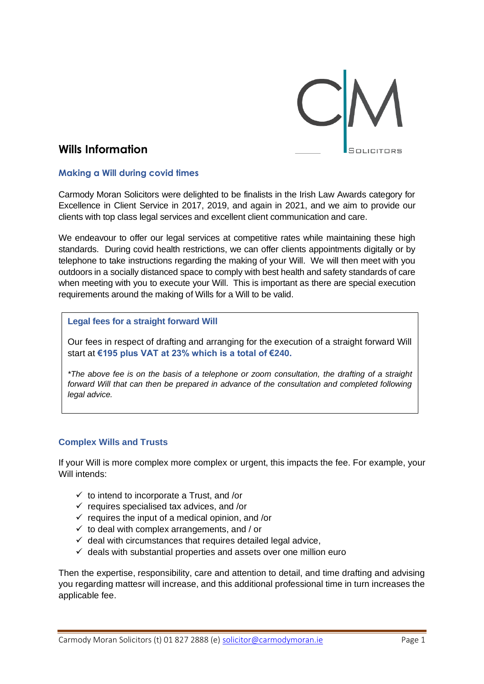

# **Wills Information**

### **Making a Will during covid times**

Carmody Moran Solicitors were delighted to be finalists in the Irish Law Awards category for Excellence in Client Service in 2017, 2019, and again in 2021, and we aim to provide our clients with top class legal services and excellent client communication and care.

We endeavour to offer our legal services at competitive rates while maintaining these high standards. During covid health restrictions, we can offer clients appointments digitally or by telephone to take instructions regarding the making of your Will. We will then meet with you outdoors in a socially distanced space to comply with best health and safety standards of care when meeting with you to execute your Will. This is important as there are special execution requirements around the making of Wills for a Will to be valid.

#### **Legal fees for a straight forward Will**

Our fees in respect of drafting and arranging for the execution of a straight forward Will start at **€195 plus VAT at 23% which is a total of €240.**

*\*The above fee is on the basis of a telephone or zoom consultation, the drafting of a straight forward Will that can then be prepared in advance of the consultation and completed following legal advice.*

#### **Complex Wills and Trusts**

If your Will is more complex more complex or urgent, this impacts the fee. For example, your Will intends:

- $\checkmark$  to intend to incorporate a Trust, and /or
- $\checkmark$  requires specialised tax advices, and /or
- $\checkmark$  requires the input of a medical opinion, and /or
- $\checkmark$  to deal with complex arrangements, and / or
- $\checkmark$  deal with circumstances that requires detailed legal advice,
- $\checkmark$  deals with substantial properties and assets over one million euro

Then the expertise, responsibility, care and attention to detail, and time drafting and advising you regarding mattesr will increase, and this additional professional time in turn increases the applicable fee.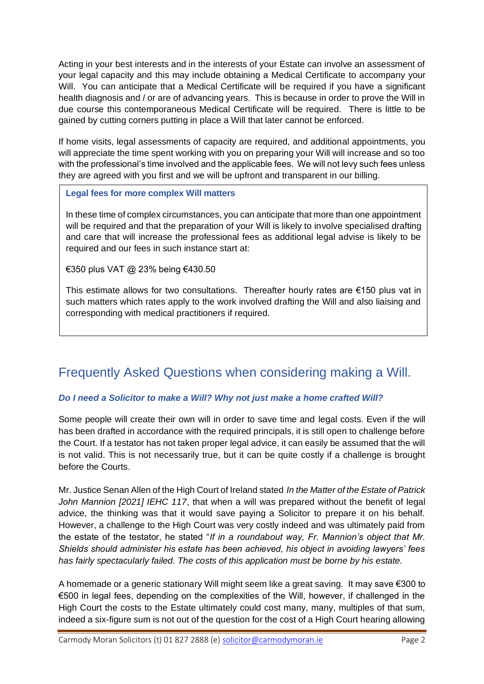Acting in your best interests and in the interests of your Estate can involve an assessment of your legal capacity and this may include obtaining a Medical Certificate to accompany your Will. You can anticipate that a Medical Certificate will be required if you have a significant health diagnosis and / or are of advancing years. This is because in order to prove the Will in due course this contemporaneous Medical Certificate will be required. There is little to be gained by cutting corners putting in place a Will that later cannot be enforced.

If home visits, legal assessments of capacity are required, and additional appointments, you will appreciate the time spent working with you on preparing your Will will increase and so too with the professional's time involved and the applicable fees. We will not levy such fees unless they are agreed with you first and we will be upfront and transparent in our billing.

# **Legal fees for more complex Will matters**

In these time of complex circumstances, you can anticipate that more than one appointment will be required and that the preparation of your Will is likely to involve specialised drafting and care that will increase the professional fees as additional legal advise is likely to be required and our fees in such instance start at:

€350 plus VAT @ 23% being €430.50

This estimate allows for two consultations. Thereafter hourly rates are €150 plus vat in such matters which rates apply to the work involved drafting the Will and also liaising and corresponding with medical practitioners if required.

# Frequently Asked Questions when considering making a Will.

# *Do I need a Solicitor to make a Will? Why not just make a home crafted Will?*

Some people will create their own will in order to save time and legal costs. Even if the will has been drafted in accordance with the required principals, it is still open to challenge before the Court. If a testator has not taken proper legal advice, it can easily be assumed that the will is not valid. This is not necessarily true, but it can be quite costly if a challenge is brought before the Courts.

Mr. Justice Senan Allen of the High Court of Ireland stated *In the Matter of the Estate of Patrick John Mannion [2021] IEHC 117*, that when a will was prepared without the benefit of legal advice, the thinking was that it would save paying a Solicitor to prepare it on his behalf. However, a challenge to the High Court was very costly indeed and was ultimately paid from the estate of the testator, he stated "*If in a roundabout way, Fr. Mannion's object that Mr. Shields should administer his estate has been achieved, his object in avoiding lawyers' fees has fairly spectacularly failed. The costs of this application must be borne by his estate.*

A homemade or a generic stationary Will might seem like a great saving. It may save €300 to €500 in legal fees, depending on the complexities of the Will, however, if challenged in the High Court the costs to the Estate ultimately could cost many, many, multiples of that sum, indeed a six-figure sum is not out of the question for the cost of a High Court hearing allowing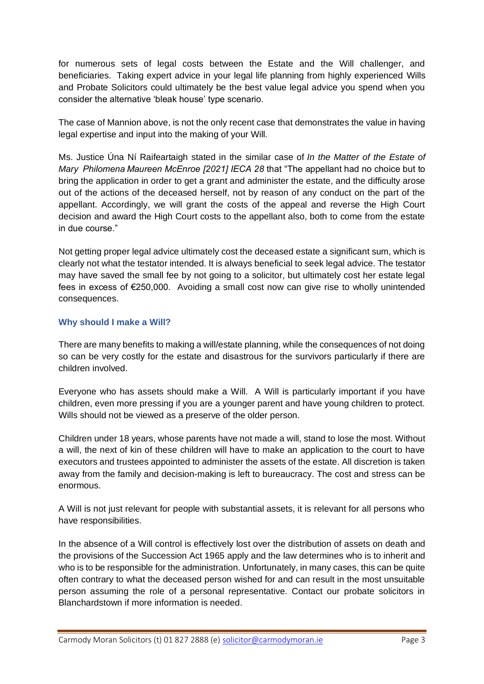for numerous sets of legal costs between the Estate and the Will challenger, and beneficiaries. Taking expert advice in your legal life planning from highly experienced Wills and Probate Solicitors could ultimately be the best value legal advice you spend when you consider the alternative 'bleak house' type scenario.

The case of Mannion above, is not the only recent case that demonstrates the value in having legal expertise and input into the making of your Will.

Ms. Justice Úna Ní Raifeartaigh stated in the similar case of *In the Matter of the Estate of Mary  Philomena Maureen McEnroe [2021] IECA 28* that "The appellant had no choice but to bring the application in order to get a grant and administer the estate, and the difficulty arose out of the actions of the deceased herself, not by reason of any conduct on the part of the appellant. Accordingly, we will grant the costs of the appeal and reverse the High Court decision and award the High Court costs to the appellant also, both to come from the estate in due course."

Not getting proper legal advice ultimately cost the deceased estate a significant sum, which is clearly not what the testator intended. It is always beneficial to seek legal advice. The testator may have saved the small fee by not going to a solicitor, but ultimately cost her estate legal fees in excess of €250,000. Avoiding a small cost now can give rise to wholly unintended consequences.

### **Why should I make a Will?**

There are many benefits to making a will/estate planning, while the consequences of not doing so can be very costly for the estate and disastrous for the survivors particularly if there are children involved.

Everyone who has assets should make a Will. A Will is particularly important if you have children, even more pressing if you are a younger parent and have young children to protect. Wills should not be viewed as a preserve of the older person.

Children under 18 years, whose parents have not made a will, stand to lose the most. Without a will, the next of kin of these children will have to make an application to the court to have executors and trustees appointed to administer the assets of the estate. All discretion is taken away from the family and decision-making is left to bureaucracy. The cost and stress can be enormous.

A Will is not just relevant for people with substantial assets, it is relevant for all persons who have responsibilities.

In the absence of a Will control is effectively lost over the distribution of assets on death and the provisions of the [Succession Act 1965](http://www.irishstatutebook.ie/eli/1965/act/27/enacted/en/html) apply and the law determines who is to inherit and who is to be responsible for the administration. Unfortunately, in many cases, this can be quite often contrary to what the deceased person wished for and can result in the most unsuitable person assuming the role of a personal representative. Contact our probate solicitors in Blanchardstown if more information is needed.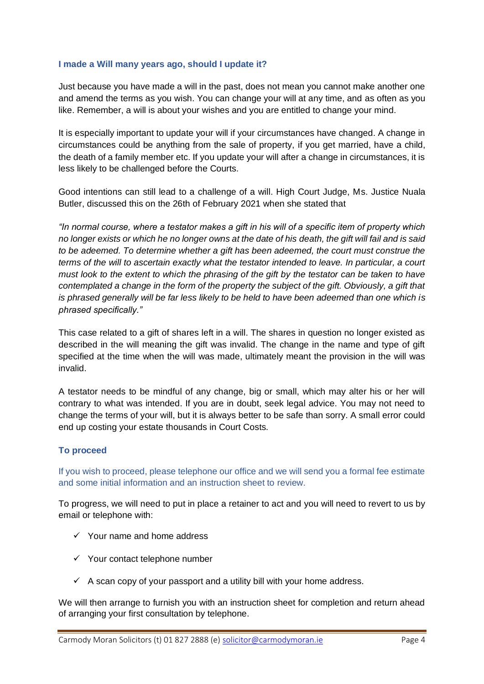#### **I made a Will many years ago, should I update it?**

Just because you have made a will in the past, does not mean you cannot make another one and amend the terms as you wish. You can change your will at any time, and as often as you like. Remember, a will is about your wishes and you are entitled to change your mind.

It is especially important to update your will if your circumstances have changed. A change in circumstances could be anything from the sale of property, if you get married, have a child, the death of a family member etc. If you update your will after a change in circumstances, it is less likely to be challenged before the Courts.

Good intentions can still lead to a challenge of a will. High Court Judge, Ms. Justice Nuala Butler, discussed this on the 26th of February 2021 when she stated that

*"In normal course, where a testator makes a gift in his will of a specific item of property which no longer exists or which he no longer owns at the date of his death, the gift will fail and is said to be adeemed. To determine whether a gift has been adeemed, the court must construe the terms of the will to ascertain exactly what the testator intended to leave. In particular, a court must look to the extent to which the phrasing of the gift by the testator can be taken to have contemplated a change in the form of the property the subject of the gift. Obviously, a gift that is phrased generally will be far less likely to be held to have been adeemed than one which is phrased specifically."*

This case related to a gift of shares left in a will. The shares in question no longer existed as described in the will meaning the gift was invalid. The change in the name and type of gift specified at the time when the will was made, ultimately meant the provision in the will was invalid.

A testator needs to be mindful of any change, big or small, which may alter his or her will contrary to what was intended. If you are in doubt, seek legal advice. You may not need to change the terms of your will, but it is always better to be safe than sorry. A small error could end up costing your estate thousands in Court Costs.

# **To proceed**

If you wish to proceed, please telephone our office and we will send you a formal fee estimate and some initial information and an instruction sheet to review.

To progress, we will need to put in place a retainer to act and you will need to revert to us by email or telephone with:

- $\checkmark$  Your name and home address
- $\checkmark$  Your contact telephone number
- $\checkmark$  A scan copy of your passport and a utility bill with your home address.

We will then arrange to furnish you with an instruction sheet for completion and return ahead of arranging your first consultation by telephone.